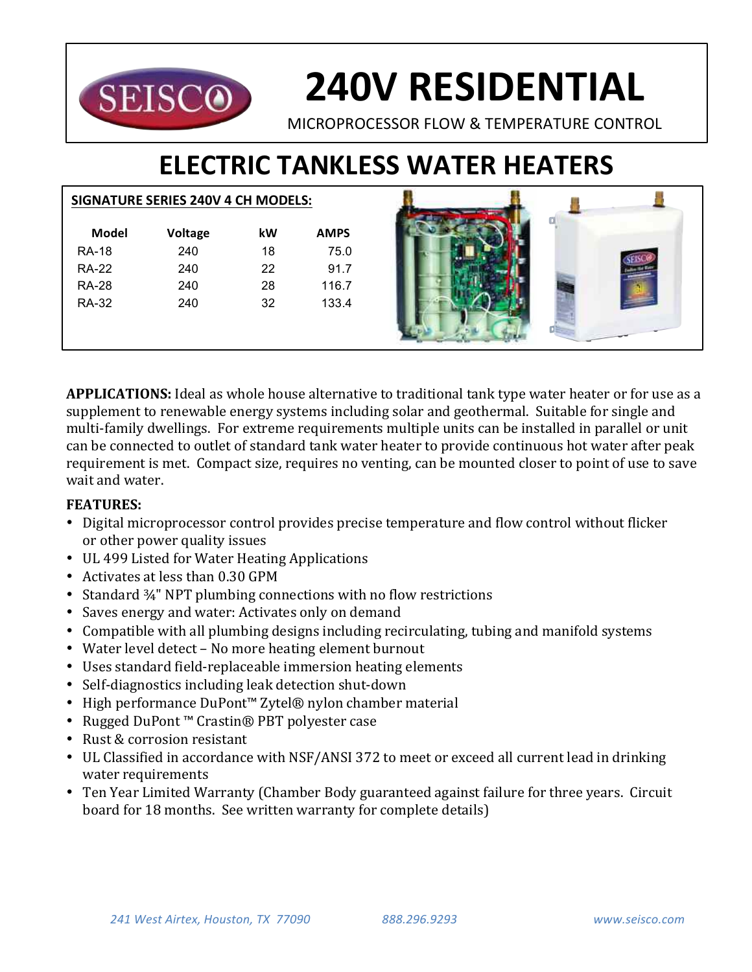

# **240V RESIDENTIAL**

MICROPROCESSOR FLOW & TEMPERATURE CONTROL

# **ELECTRIC TANKLESS WATER HEATERS**

### **SIGNATURE SERIES 240V 4 CH MODELS:**

| Model        | <b>Voltage</b> | kW | <b>AMPS</b> |
|--------------|----------------|----|-------------|
| <b>RA-18</b> | 240            | 18 | 75.0        |
| <b>RA-22</b> | 240            | 22 | 91.7        |
| <b>RA-28</b> | 240            | 28 | 116.7       |
| <b>RA-32</b> | 240            | 32 | 133.4       |
|              |                |    |             |
|              |                |    |             |



**APPLICATIONS:** Ideal as whole house alternative to traditional tank type water heater or for use as a supplement to renewable energy systems including solar and geothermal. Suitable for single and multi-family dwellings. For extreme requirements multiple units can be installed in parallel or unit can be connected to outlet of standard tank water heater to provide continuous hot water after peak requirement is met. Compact size, requires no venting, can be mounted closer to point of use to save wait and water.

## **FEATURES:**

- Digital microprocessor control provides precise temperature and flow control without flicker or other power quality issues
- UL 499 Listed for Water Heating Applications
- Activates at less than 0.30 GPM
- Standard  $\frac{3}{4}$ " NPT plumbing connections with no flow restrictions
- Saves energy and water: Activates only on demand
- Compatible with all plumbing designs including recirculating, tubing and manifold systems
- Water level detect No more heating element burnout
- Uses standard field-replaceable immersion heating elements
- Self-diagnostics including leak detection shut-down
- High performance DuPont™ Zytel® nylon chamber material
- Rugged DuPont™ Crastin® PBT polyester case
- Rust & corrosion resistant
- UL Classified in accordance with NSF/ANSI 372 to meet or exceed all current lead in drinking water requirements
- Ten Year Limited Warranty (Chamber Body guaranteed against failure for three years. Circuit board for 18 months. See written warranty for complete details)